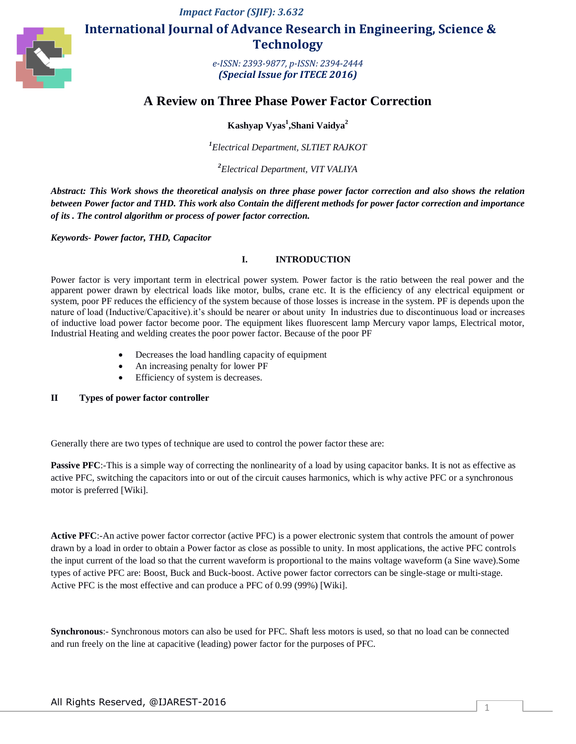*Impact Factor (SJIF): 3.632*



# **International Journal of Advance Research in Engineering, Science & Technology**

*e-ISSN: 2393-9877, p-ISSN: 2394-2444 (Special Issue for ITECE 2016)*

# **A Review on Three Phase Power Factor Correction**

**Kashyap Vyas<sup>1</sup> ,Shani Vaidya<sup>2</sup>**

*1 Electrical Department, SLTIET RAJKOT*

*2 Electrical Department, VIT VALIYA*

*Abstract: This Work shows the theoretical analysis on three phase power factor correction and also shows the relation between Power factor and THD. This work also Contain the different methods for power factor correction and importance of its . The control algorithm or process of power factor correction.*

*Keywords- Power factor, THD, Capacitor*

## **I. INTRODUCTION**

Power factor is very important term in electrical power system. Power factor is the ratio between the real power and the apparent power drawn by electrical loads like motor, bulbs, crane etc. It is the efficiency of any electrical equipment or system, poor PF reduces the efficiency of the system because of those losses is increase in the system. PF is depends upon the nature of load (Inductive/Capacitive).it's should be nearer or about unity In industries due to discontinuous load or increases of inductive load power factor become poor. The equipment likes fluorescent lamp Mercury vapor lamps, Electrical motor, Industrial Heating and welding creates the poor power factor. Because of the poor PF

- Decreases the load handling capacity of equipment
- An increasing penalty for lower PF
- Efficiency of system is decreases.

## **II Types of power factor controller**

Generally there are two types of technique are used to control the power factor these are:

**Passive PFC**:-This is a simple way of correcting the nonlinearity of a load by using capacitor banks. It is not as effective as active PFC, switching the capacitors into or out of the circuit causes harmonics, which is why active PFC or a synchronous motor is preferred [Wiki].

**Active PFC**:-An active power factor corrector (active PFC) is a power electronic system that controls the amount of power drawn by a load in order to obtain a Power factor as close as possible to unity. In most applications, the active PFC controls the input current of the load so that the current waveform is proportional to the mains voltage waveform (a Sine wave).Some types of active PFC are: Boost, Buck and Buck-boost. Active power factor correctors can be single-stage or multi-stage. Active PFC is the most effective and can produce a PFC of 0.99 (99%) [Wiki].

**Synchronous**:- Synchronous motors can also be used for PFC. Shaft less motors is used, so that no load can be connected and run freely on the line at capacitive (leading) power factor for the purposes of PFC.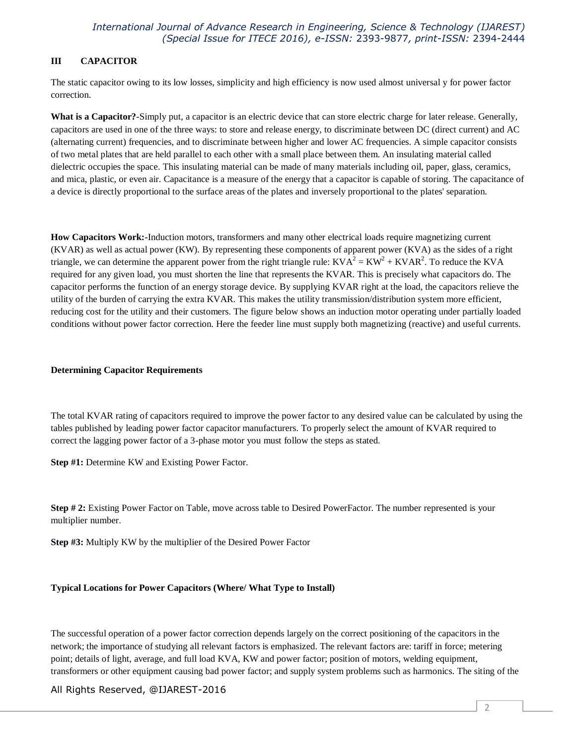# **III CAPACITOR**

The static capacitor owing to its low losses, simplicity and high efficiency is now used almost universal y for power factor correction.

**What is a Capacitor?**-Simply put, a capacitor is an electric device that can store electric charge for later release. Generally, capacitors are used in one of the three ways: to store and release energy, to discriminate between DC (direct current) and AC (alternating current) frequencies, and to discriminate between higher and lower AC frequencies. A simple capacitor consists of two metal plates that are held parallel to each other with a small place between them. An insulating material called dielectric occupies the space. This insulating material can be made of many materials including oil, paper, glass, ceramics, and mica, plastic, or even air. Capacitance is a measure of the energy that a capacitor is capable of storing. The capacitance of a device is directly proportional to the surface areas of the plates and inversely proportional to the plates' separation.

**How Capacitors Work:-**Induction motors, transformers and many other electrical loads require magnetizing current (KVAR) as well as actual power (KW). By representing these components of apparent power (KVA) as the sides of a right triangle, we can determine the apparent power from the right triangle rule:  $KVA^2 = KW^2 + KVAR^2$ . To reduce the KVA required for any given load, you must shorten the line that represents the KVAR. This is precisely what capacitors do. The capacitor performs the function of an energy storage device. By supplying KVAR right at the load, the capacitors relieve the utility of the burden of carrying the extra KVAR. This makes the utility transmission/distribution system more efficient, reducing cost for the utility and their customers. The figure below shows an induction motor operating under partially loaded conditions without power factor correction. Here the feeder line must supply both magnetizing (reactive) and useful currents.

#### **Determining Capacitor Requirements**

The total KVAR rating of capacitors required to improve the power factor to any desired value can be calculated by using the tables published by leading power factor capacitor manufacturers. To properly select the amount of KVAR required to correct the lagging power factor of a 3-phase motor you must follow the steps as stated.

**Step #1:** Determine KW and Existing Power Factor.

**Step # 2:** Existing Power Factor on Table, move across table to Desired PowerFactor. The number represented is your multiplier number.

**Step #3:** Multiply KW by the multiplier of the Desired Power Factor

## **Typical Locations for Power Capacitors (Where/ What Type to Install)**

The successful operation of a power factor correction depends largely on the correct positioning of the capacitors in the network; the importance of studying all relevant factors is emphasized. The relevant factors are: tariff in force; metering point; details of light, average, and full load KVA, KW and power factor; position of motors, welding equipment, transformers or other equipment causing bad power factor; and supply system problems such as harmonics. The siting of the

# All Rights Reserved, @IJAREST-2016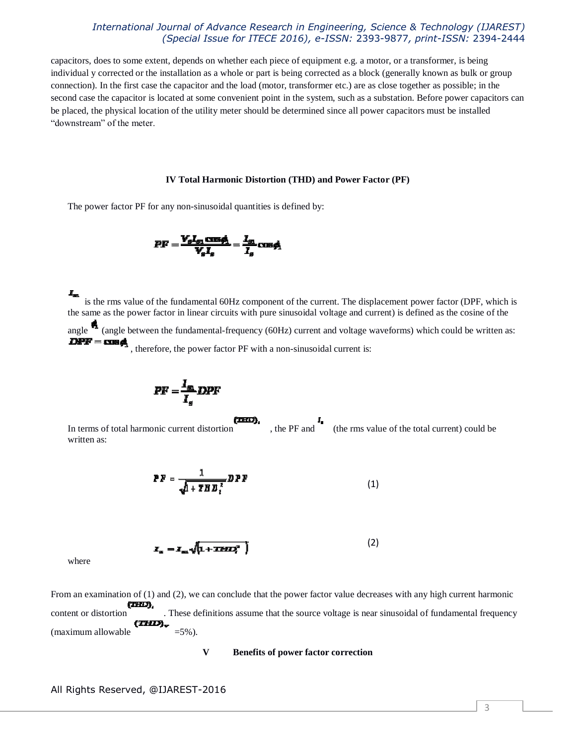capacitors, does to some extent, depends on whether each piece of equipment e.g. a motor, or a transformer, is being individual y corrected or the installation as a whole or part is being corrected as a block (generally known as bulk or group connection). In the first case the capacitor and the load (motor, transformer etc.) are as close together as possible; in the second case the capacitor is located at some convenient point in the system, such as a substation. Before power capacitors can be placed, the physical location of the utility meter should be determined since all power capacitors must be installed "downstream" of the meter.

#### **IV Total Harmonic Distortion (THD) and Power Factor (PF)**

The power factor PF for any non-sinusoidal quantities is defined by:

$$
PF = \frac{V_s I_{s1} \cos \phi_1}{V_s I_s} = \frac{I_{s1}}{I_s} \cos \phi_1
$$

is the rms value of the fundamental 60Hz component of the current. The displacement power factor (DPF, which is the same as the power factor in linear circuits with pure sinusoidal voltage and current) is defined as the cosine of the angle (angle between the fundamental-frequency (60Hz) current and voltage waveforms) which could be written as:<br> **DPF** = **CDF** 

, therefore, the power factor PF with a non-sinusoidal current is:

$$
PF = \frac{I_{\text{S}}}{I_{\text{A}}}DPF
$$

(IHI). In terms of total harmonic current distortion , the PF and (the rms value of the total current) could be

$$
PF = \frac{1}{\sqrt{1 + T H B_i^2}} D P F
$$
 (1)

$$
x_{\rm m} = x_{\rm m} \sqrt{1 + \text{TEFLZ}^2}
$$
 (2)

where

written as:

From an examination of (1) and (2), we can conclude that the power factor value decreases with any high current harmonic (IHD), content or distortion . These definitions assume that the source voltage is near sinusoidal of fundamental frequency (THD), (maximum allowable  $=5\%$ ).

#### **V Benefits of power factor correction**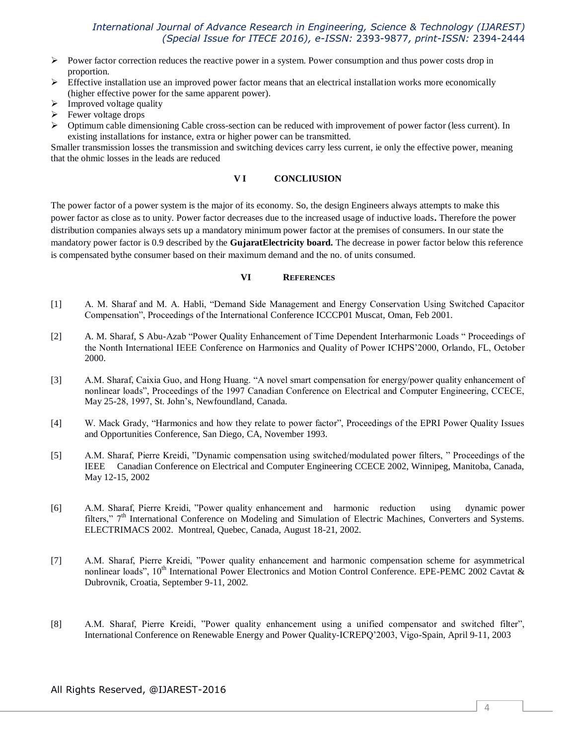- Power factor correction reduces the reactive power in a system. Power consumption and thus power costs drop in proportion.
- $\triangleright$  Effective installation use an improved power factor means that an electrical installation works more economically (higher effective power for the same apparent power).
- Improved voltage quality
- $\triangleright$  Fewer voltage drops
- Optimum cable dimensioning Cable cross-section can be reduced with improvement of power factor (less current). In existing installations for instance, extra or higher power can be transmitted.

Smaller transmission losses the transmission and switching devices carry less current, ie only the effective power, meaning that the ohmic losses in the leads are reduced

### **V I CONCLIUSION**

The power factor of a power system is the major of its economy. So, the design Engineers always attempts to make this power factor as close as to unity. Power factor decreases due to the increased usage of inductive loads**.** Therefore the power distribution companies always sets up a mandatory minimum power factor at the premises of consumers. In our state the mandatory power factor is 0.9 described by the **GujaratElectricity board.** The decrease in power factor below this reference is compensated bythe consumer based on their maximum demand and the no. of units consumed.

#### **VI REFERENCES**

- [1] A. M. Sharaf and M. A. Habli, "Demand Side Management and Energy Conservation Using Switched Capacitor Compensation", Proceedings of the International Conference ICCCP01 Muscat, Oman, Feb 2001.
- [2] A. M. Sharaf, S Abu-Azab "Power Quality Enhancement of Time Dependent Interharmonic Loads " Proceedings of the Nonth International IEEE Conference on Harmonics and Quality of Power ICHPS'2000, Orlando, FL, October 2000.
- [3] A.M. Sharaf, Caixia Guo, and Hong Huang. "A novel smart compensation for energy/power quality enhancement of nonlinear loads", Proceedings of the 1997 Canadian Conference on Electrical and Computer Engineering, CCECE, May 25-28, 1997, St. John's, Newfoundland, Canada.
- [4] W. Mack Grady, "Harmonics and how they relate to power factor", Proceedings of the EPRI Power Quality Issues and Opportunities Conference, San Diego, CA, November 1993.
- [5] A.M. Sharaf, Pierre Kreidi, "Dynamic compensation using switched/modulated power filters, " Proceedings of the IEEE Canadian Conference on Electrical and Computer Engineering CCECE 2002, Winnipeg, Manitoba, Canada, May 12-15, 2002
- [6] A.M. Sharaf, Pierre Kreidi, "Power quality enhancement and harmonic reduction using dynamic power filters," 7<sup>th</sup> International Conference on Modeling and Simulation of Electric Machines, Converters and Systems. ELECTRIMACS 2002. Montreal, Quebec, Canada, August 18-21, 2002.
- [7] A.M. Sharaf, Pierre Kreidi, "Power quality enhancement and harmonic compensation scheme for asymmetrical nonlinear loads", 10<sup>th</sup> International Power Electronics and Motion Control Conference. EPE-PEMC 2002 Cavtat & Dubrovnik, Croatia, September 9-11, 2002.
- [8] A.M. Sharaf, Pierre Kreidi, "Power quality enhancement using a unified compensator and switched filter", International Conference on Renewable Energy and Power Quality-ICREPQ'2003, Vigo-Spain, April 9-11, 2003